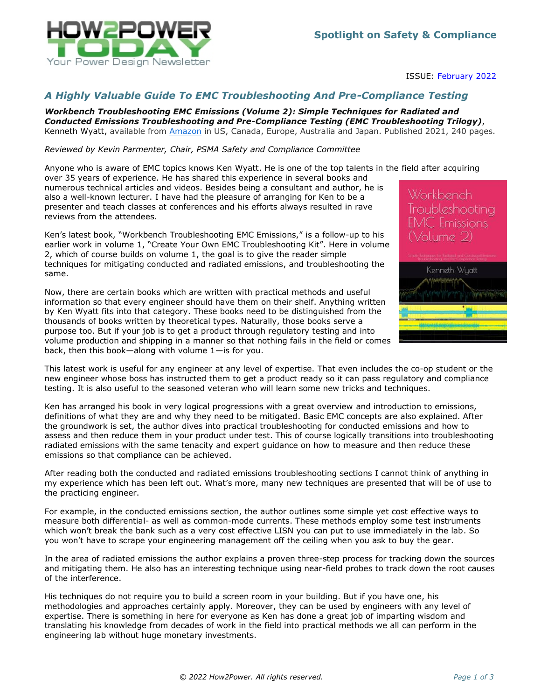

ISSUE: [February](http://www.how2power.com/newsletters/2202/index.html) 2022

## *A Highly Valuable Guide To EMC Troubleshooting And Pre-Compliance Testing*

*Workbench Troubleshooting EMC Emissions (Volume 2): Simple Techniques for Radiated and Conducted Emissions Troubleshooting and Pre-Compliance Testing (EMC Troubleshooting Trilogy)*, Kenneth Wyatt, available from [Amazon](https://www.amazon.com/Workbench-Troubleshooting-EMC-Emissions-Pre-Compliance/dp/B096YSZS7B/) in US, Canada, Europe, Australia and Japan. Published 2021, 240 pages.

## *Reviewed by Kevin Parmenter, Chair, PSMA Safety and Compliance Committee*

Anyone who is aware of EMC topics knows Ken Wyatt. He is one of the top talents in the field after acquiring over 35 years of experience. He has shared this experience in several books and numerous technical articles and videos. Besides being a consultant and author, he is also a well-known lecturer. I have had the pleasure of arranging for Ken to be a presenter and teach classes at conferences and his efforts always resulted in rave reviews from the attendees.

Ken's latest book, "Workbench Troubleshooting EMC Emissions," is a follow-up to his earlier work in volume 1, "Create Your Own EMC Troubleshooting Kit". Here in volume 2, which of course builds on volume 1, the goal is to give the reader simple techniques for mitigating conducted and radiated emissions, and troubleshooting the same.

Now, there are certain books which are written with practical methods and useful information so that every engineer should have them on their shelf. Anything written by Ken Wyatt fits into that category. These books need to be distinguished from the thousands of books written by theoretical types. Naturally, those books serve a purpose too. But if your job is to get a product through regulatory testing and into volume production and shipping in a manner so that nothing fails in the field or comes back, then this book—along with volume 1—is for you.



This latest work is useful for any engineer at any level of expertise. That even includes the co-op student or the new engineer whose boss has instructed them to get a product ready so it can pass regulatory and compliance testing. It is also useful to the seasoned veteran who will learn some new tricks and techniques.

Ken has arranged his book in very logical progressions with a great overview and introduction to emissions, definitions of what they are and why they need to be mitigated. Basic EMC concepts are also explained. After the groundwork is set, the author dives into practical troubleshooting for conducted emissions and how to assess and then reduce them in your product under test. This of course logically transitions into troubleshooting radiated emissions with the same tenacity and expert guidance on how to measure and then reduce these emissions so that compliance can be achieved.

After reading both the conducted and radiated emissions troubleshooting sections I cannot think of anything in my experience which has been left out. What's more, many new techniques are presented that will be of use to the practicing engineer.

For example, in the conducted emissions section, the author outlines some simple yet cost effective ways to measure both differential- as well as common-mode currents. These methods employ some test instruments which won't break the bank such as a very cost effective LISN you can put to use immediately in the lab. So you won't have to scrape your engineering management off the ceiling when you ask to buy the gear.

In the area of radiated emissions the author explains a proven three-step process for tracking down the sources and mitigating them. He also has an interesting technique using near-field probes to track down the root causes of the interference.

His techniques do not require you to build a screen room in your building. But if you have one, his methodologies and approaches certainly apply. Moreover, they can be used by engineers with any level of expertise. There is something in here for everyone as Ken has done a great job of imparting wisdom and translating his knowledge from decades of work in the field into practical methods we all can perform in the engineering lab without huge monetary investments.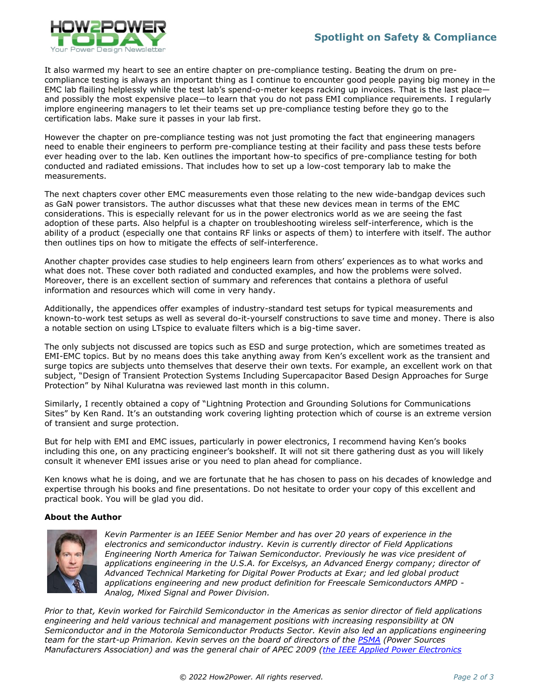

It also warmed my heart to see an entire chapter on pre-compliance testing. Beating the drum on precompliance testing is always an important thing as I continue to encounter good people paying big money in the EMC lab flailing helplessly while the test lab's spend-o-meter keeps racking up invoices. That is the last place and possibly the most expensive place—to learn that you do not pass EMI compliance requirements. I regularly implore engineering managers to let their teams set up pre-compliance testing before they go to the certification labs. Make sure it passes in your lab first.

However the chapter on pre-compliance testing was not just promoting the fact that engineering managers need to enable their engineers to perform pre-compliance testing at their facility and pass these tests before ever heading over to the lab. Ken outlines the important how-to specifics of pre-compliance testing for both conducted and radiated emissions. That includes how to set up a low-cost temporary lab to make the measurements.

The next chapters cover other EMC measurements even those relating to the new wide-bandgap devices such as GaN power transistors. The author discusses what that these new devices mean in terms of the EMC considerations. This is especially relevant for us in the power electronics world as we are seeing the fast adoption of these parts. Also helpful is a chapter on troubleshooting wireless self-interference, which is the ability of a product (especially one that contains RF links or aspects of them) to interfere with itself. The author then outlines tips on how to mitigate the effects of self-interference.

Another chapter provides case studies to help engineers learn from others' experiences as to what works and what does not. These cover both radiated and conducted examples, and how the problems were solved. Moreover, there is an excellent section of summary and references that contains a plethora of useful information and resources which will come in very handy.

Additionally, the appendices offer examples of industry-standard test setups for typical measurements and known-to-work test setups as well as several do-it-yourself constructions to save time and money. There is also a notable section on using LTspice to evaluate filters which is a big-time saver.

The only subjects not discussed are topics such as ESD and surge protection, which are sometimes treated as EMI-EMC topics. But by no means does this take anything away from Ken's excellent work as the transient and surge topics are subjects unto themselves that deserve their own texts. For example, an excellent work on that subject, "Design of Transient Protection Systems Including Supercapacitor Based Design Approaches for Surge Protection" by Nihal Kuluratna was reviewed last month in this column.

Similarly, I recently obtained a copy of "Lightning Protection and Grounding Solutions for Communications Sites" by Ken Rand. It's an outstanding work covering lighting protection which of course is an extreme version of transient and surge protection.

But for help with EMI and EMC issues, particularly in power electronics, I recommend having Ken's books including this one, on any practicing engineer's bookshelf. It will not sit there gathering dust as you will likely consult it whenever EMI issues arise or you need to plan ahead for compliance.

Ken knows what he is doing, and we are fortunate that he has chosen to pass on his decades of knowledge and expertise through his books and fine presentations. Do not hesitate to order your copy of this excellent and practical book. You will be glad you did.

## **About the Author**



*Kevin Parmenter is an IEEE Senior Member and has over 20 years of experience in the electronics and semiconductor industry. Kevin is currently director of Field Applications Engineering North America for Taiwan Semiconductor. Previously he was vice president of applications engineering in the U.S.A. for Excelsys, an Advanced Energy company; director of Advanced Technical Marketing for Digital Power Products at Exar; and led global product applications engineering and new product definition for Freescale Semiconductors AMPD - Analog, Mixed Signal and Power Division.*

*Prior to that, Kevin worked for Fairchild Semiconductor in the Americas as senior director of field applications engineering and held various technical and management positions with increasing responsibility at ON Semiconductor and in the Motorola Semiconductor Products Sector. Kevin also led an applications engineering team for the start-up Primarion. Kevin serves on the board of directors of the [PSMA](http://www.psma..com/) (Power Sources Manufacturers Association) and was the general chair of APEC 2009 [\(the IEEE Applied Power Electronics](http://www..apec-conf.org/)*